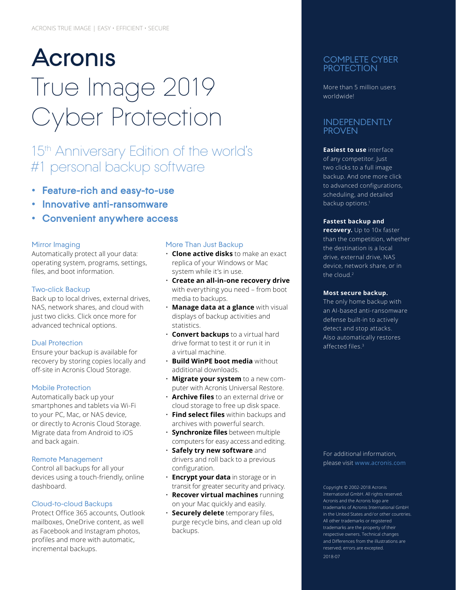# **Acronis** True Image 2019 Cyber Protection

# 15<sup>th</sup> Anniversary Edition of the world's #1 personal backup software

- **• Feature-rich and easy-to-use**
- **• Innovative anti-ransomware**
- **• Convenient anywhere access**

#### Mirror Imaging

Automatically protect all your data: operating system, programs, settings, files, and boot information.

#### Two-click Backup

Back up to local drives, external drives, NAS, network shares, and cloud with just two clicks. Click once more for advanced technical options.

#### Dual Protection

Ensure your backup is available for recovery by storing copies locally and off-site in Acronis Cloud Storage.

#### Mobile Protection

Automatically back up your smartphones and tablets via Wi-Fi to your PC, Mac, or NAS device, or directly to Acronis Cloud Storage. Migrate data from Android to iOS and back again.

#### Remote Management

Control all backups for all your devices using a touch-friendly, online dashboard.

#### Cloud-to-cloud Backups

Protect Office 365 accounts, Outlook mailboxes, OneDrive content, as well as Facebook and Instagram photos, profiles and more with automatic, incremental backups.

#### More Than Just Backup

- **Clone active disks** to make an exact replica of your Windows or Mac system while it's in use.
- **Create an all-in-one recovery drive**  with everything you need – from boot media to backups.
- **Manage data at a glance** with visual displays of backup activities and statistics.
- **Convert backups** to a virtual hard drive format to test it or run it in a virtual machine.
- **Build WinPE boot media** without additional downloads.
- **Migrate your system** to a new computer with Acronis Universal Restore.
- **Archive files** to an external drive or cloud storage to free up disk space.
- **Find select files** within backups and archives with powerful search.
- **Synchronize files** between multiple computers for easy access and editing.
- **Safely try new software** and drivers and roll back to a previous configuration.
- **Encrypt your data** in storage or in transit for greater security and privacy.
- **Recover virtual machines** running on your Mac quickly and easily.
- **Securely delete** temporary files, purge recycle bins, and clean up old backups.

#### COMPLETE CYBER **PROTECTION**

More than 5 million users worldwide!

#### INDEPENDENTLY **PROVEN**

#### **Easiest to use** interface of any competitor. Just two clicks to a full image backup. And one more click to advanced configurations, scheduling, and detailed backup options.<sup>1</sup>

#### **Fastest backup and**

**recovery.** Up to 10x faster than the competition, whether the destination is a local drive, external drive, NAS device, network share, or in the cloud.<sup>2</sup>

#### **Most secure backup.**

The only home backup with an AI-based anti-ransomware defense built-in to actively detect and stop attacks. Also automatically restores affected files.<sup>3</sup>

For additional information, please visit [www.acronis.com](http://www.acronis.com/en-us/provider/backup-cloud/)

Copyright © 2002‑2018 Acronis International GmbH. All rights reserved. Acronis and the Acronis logo are trademarks of Acronis International GmbH in the United States and/or other countries. All other trademarks or registered trademarks are the property of their respective owners. Technical changes and Differences from the illustrations are reserved; errors are excepted. 2018‑07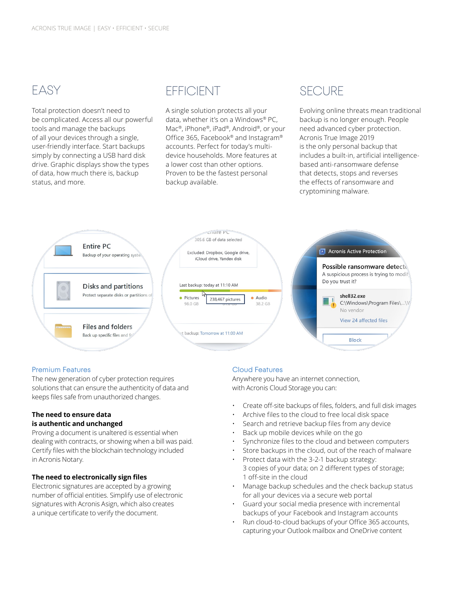# EASY

Total protection doesn't need to be complicated. Access all our powerful tools and manage the backups of all your devices through a single, user-friendly interface. Start backups simply by connecting a USB hard disk drive. Graphic displays show the types of data, how much there is, backup status, and more.

# EFFICIENT

A single solution protects all your data, whether it's on a Windows® PC, Mac®, iPhone®, iPad®, Android®, or your Office 365, Facebook® and Instagram® accounts. Perfect for today's multidevice households. More features at a lower cost than other options. Proven to be the fastest personal backup available.

### **SECURE**

Evolving online threats mean traditional backup is no longer enough. People need advanced cyber protection. Acronis True Image 2019 is the only personal backup that includes a built-in, artificial intelligencebased anti-ransomware defense that detects, stops and reverses the effects of ransomware and cryptomining malware.



#### Premium Features

The new generation of cyber protection requires solutions that can ensure the authenticity of data and keeps files safe from unauthorized changes.

#### **The need to ensure data is authentic and unchanged**

Proving a document is unaltered is essential when dealing with contracts, or showing when a bill was paid. Certify files with the blockchain technology included in Acronis Notary.

#### **The need to electronically sign files**

Electronic signatures are accepted by a growing number of official entities. Simplify use of electronic signatures with Acronis Asign, which also creates a unique certificate to verify the document.

#### Cloud Features

Anywhere you have an internet connection, with Acronis Cloud Storage you can:

- Create off-site backups of files, folders, and full disk images
- Archive files to the cloud to free local disk space
- Search and retrieve backup files from any device
- Back up mobile devices while on the go
- Synchronize files to the cloud and between computers
- Store backups in the cloud, out of the reach of malware
- Protect data with the 3‑2‑1 backup strategy: 3 copies of your data; on 2 different types of storage; 1 off-site in the cloud
- Manage backup schedules and the check backup status for all your devices via a secure web portal
- Guard your social media presence with incremental backups of your Facebook and Instagram accounts
- Run cloud-to-cloud backups of your Office 365 accounts, capturing your Outlook mailbox and OneDrive content